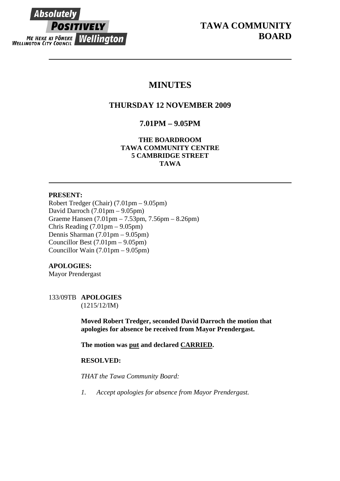**Absolutely POSITIVELY** ME HEKE KI PÖNEKE Wellington **WELLINGTON CITY COUNCIL** 

# **MINUTES**

# **THURSDAY 12 NOVEMBER 2009**

# **7.01PM – 9.05PM**

**THE BOARDROOM TAWA COMMUNITY CENTRE 5 CAMBRIDGE STREET TAWA** 

# **PRESENT:**

Robert Tredger (Chair) (7.01pm – 9.05pm) David Darroch (7.01pm – 9.05pm) Graeme Hansen (7.01pm – 7.53pm, 7.56pm – 8.26pm) Chris Reading (7.01pm – 9.05pm) Dennis Sharman (7.01pm – 9.05pm) Councillor Best (7.01pm – 9.05pm) Councillor Wain (7.01pm – 9.05pm)

# **APOLOGIES:**

Mayor Prendergast

# 133/09TB **APOLOGIES**

(1215/12/IM)

**Moved Robert Tredger, seconded David Darroch the motion that apologies for absence be received from Mayor Prendergast.** 

**The motion was put and declared CARRIED.** 

# **RESOLVED:**

*THAT the Tawa Community Board:* 

*1. Accept apologies for absence from Mayor Prendergast.*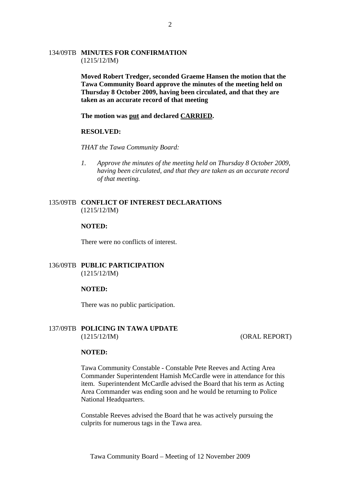## 134/09TB **MINUTES FOR CONFIRMATION** (1215/12/IM)

**Moved Robert Tredger, seconded Graeme Hansen the motion that the Tawa Community Board approve the minutes of the meeting held on Thursday 8 October 2009, having been circulated, and that they are taken as an accurate record of that meeting** 

**The motion was put and declared CARRIED.** 

#### **RESOLVED:**

*THAT the Tawa Community Board:* 

*1. Approve the minutes of the meeting held on Thursday 8 October 2009, having been circulated, and that they are taken as an accurate record of that meeting.* 

## 135/09TB **CONFLICT OF INTEREST DECLARATIONS** (1215/12/IM)

#### **NOTED:**

There were no conflicts of interest.

## 136/09TB **PUBLIC PARTICIPATION** (1215/12/IM)

### **NOTED:**

There was no public participation.

## 137/09TB **POLICING IN TAWA UPDATE**  (1215/12/IM) (ORAL REPORT)

#### **NOTED:**

Tawa Community Constable - Constable Pete Reeves and Acting Area Commander Superintendent Hamish McCardle were in attendance for this item. Superintendent McCardle advised the Board that his term as Acting Area Commander was ending soon and he would be returning to Police National Headquarters.

Constable Reeves advised the Board that he was actively pursuing the culprits for numerous tags in the Tawa area.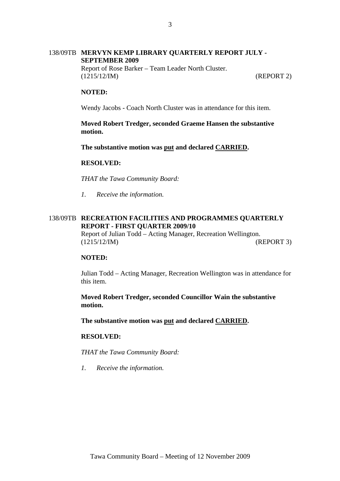# 138/09TB **MERVYN KEMP LIBRARY QUARTERLY REPORT JULY - SEPTEMBER 2009**  Report of Rose Barker – Team Leader North Cluster. (1215/12/IM) (REPORT 2)

### **NOTED:**

Wendy Jacobs - Coach North Cluster was in attendance for this item.

**Moved Robert Tredger, seconded Graeme Hansen the substantive motion.** 

**The substantive motion was put and declared CARRIED.** 

#### **RESOLVED:**

*THAT the Tawa Community Board:* 

*1. Receive the information.* 

## 138/09TB **RECREATION FACILITIES AND PROGRAMMES QUARTERLY REPORT - FIRST QUARTER 2009/10**

Report of Julian Todd – Acting Manager, Recreation Wellington. (1215/12/IM) (REPORT 3)

### **NOTED:**

Julian Todd – Acting Manager, Recreation Wellington was in attendance for this item.

**Moved Robert Tredger, seconded Councillor Wain the substantive motion.** 

**The substantive motion was put and declared CARRIED.** 

#### **RESOLVED:**

*THAT the Tawa Community Board:* 

*1. Receive the information.*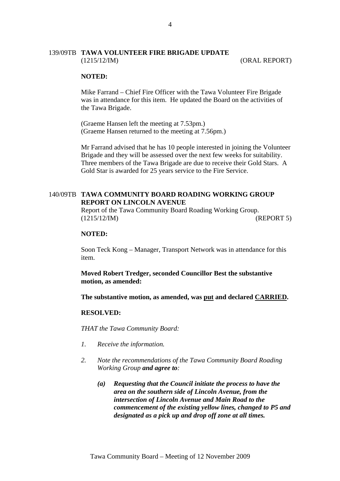## 139/09TB **TAWA VOLUNTEER FIRE BRIGADE UPDATE** (1215/12/IM) (ORAL REPORT)

#### **NOTED:**

Mike Farrand – Chief Fire Officer with the Tawa Volunteer Fire Brigade was in attendance for this item. He updated the Board on the activities of the Tawa Brigade.

(Graeme Hansen left the meeting at 7.53pm.) (Graeme Hansen returned to the meeting at 7.56pm.)

Mr Farrand advised that he has 10 people interested in joining the Volunteer Brigade and they will be assessed over the next few weeks for suitability. Three members of the Tawa Brigade are due to receive their Gold Stars. A Gold Star is awarded for 25 years service to the Fire Service.

## 140/09TB **TAWA COMMUNITY BOARD ROADING WORKING GROUP REPORT ON LINCOLN AVENUE**

Report of the Tawa Community Board Roading Working Group. (1215/12/IM) (REPORT 5)

### **NOTED:**

Soon Teck Kong – Manager, Transport Network was in attendance for this item.

**Moved Robert Tredger, seconded Councillor Best the substantive motion, as amended:** 

**The substantive motion, as amended, was put and declared CARRIED.** 

#### **RESOLVED:**

*THAT the Tawa Community Board:* 

- *1. Receive the information.*
- *2. Note the recommendations of the Tawa Community Board Roading Working Group and agree to:* 
	- *(a) Requesting that the Council initiate the process to have the area on the southern side of Lincoln Avenue, from the intersection of Lincoln Avenue and Main Road to the commencement of the existing yellow lines, changed to P5 and designated as a pick up and drop off zone at all times.*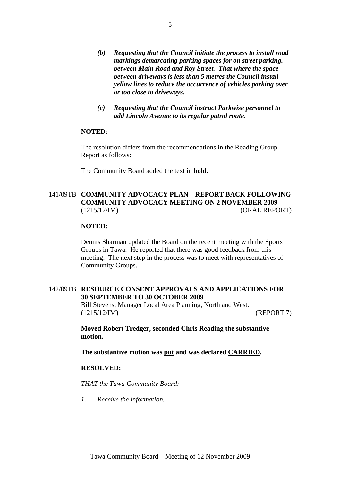- *(b) Requesting that the Council initiate the process to install road markings demarcating parking spaces for on street parking, between Main Road and Roy Street. That where the space between driveways is less than 5 metres the Council install yellow lines to reduce the occurrence of vehicles parking over or too close to driveways.*
- *(c) Requesting that the Council instruct Parkwise personnel to add Lincoln Avenue to its regular patrol route.*

## **NOTED:**

The resolution differs from the recommendations in the Roading Group Report as follows:

The Community Board added the text in **bold**.

# 141/09TB **COMMUNITY ADVOCACY PLAN – REPORT BACK FOLLOWING COMMUNITY ADVOCACY MEETING ON 2 NOVEMBER 2009** (1215/12/IM) (ORAL REPORT)

### **NOTED:**

Dennis Sharman updated the Board on the recent meeting with the Sports Groups in Tawa. He reported that there was good feedback from this meeting. The next step in the process was to meet with representatives of Community Groups.

### 142/09TB **RESOURCE CONSENT APPROVALS AND APPLICATIONS FOR 30 SEPTEMBER TO 30 OCTOBER 2009**

Bill Stevens, Manager Local Area Planning, North and West. (1215/12/IM) (REPORT 7)

**Moved Robert Tredger, seconded Chris Reading the substantive motion.** 

**The substantive motion was put and was declared CARRIED.** 

### **RESOLVED:**

*THAT the Tawa Community Board:* 

*1. Receive the information.*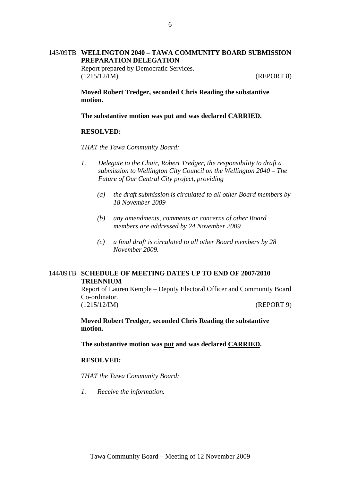# 143/09TB **WELLINGTON 2040 – TAWA COMMUNITY BOARD SUBMISSION PREPARATION DELEGATION**

Report prepared by Democratic Services. (1215/12/IM) (REPORT 8)

**Moved Robert Tredger, seconded Chris Reading the substantive motion.** 

**The substantive motion was put and was declared CARRIED.** 

#### **RESOLVED:**

*THAT the Tawa Community Board:* 

- *1. Delegate to the Chair, Robert Tredger, the responsibility to draft a submission to Wellington City Council on the Wellington 2040 – The Future of Our Central City project, providing* 
	- *(a) the draft submission is circulated to all other Board members by 18 November 2009*
	- *(b) any amendments, comments or concerns of other Board members are addressed by 24 November 2009*
	- *(c) a final draft is circulated to all other Board members by 28 November 2009.*

# 144/09TB **SCHEDULE OF MEETING DATES UP TO END OF 2007/2010 TRIENNIUM**

Report of Lauren Kemple – Deputy Electoral Officer and Community Board Co-ordinator. (1215/12/IM) (REPORT 9)

**Moved Robert Tredger, seconded Chris Reading the substantive motion.** 

**The substantive motion was put and was declared CARRIED.** 

# **RESOLVED:**

*THAT the Tawa Community Board:* 

*1. Receive the information.*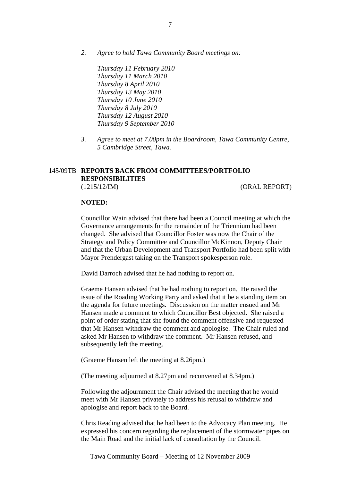*2. Agree to hold Tawa Community Board meetings on:* 

*Thursday 11 February 2010 Thursday 11 March 2010 Thursday 8 April 2010 Thursday 13 May 2010 Thursday 10 June 2010 Thursday 8 July 2010 Thursday 12 August 2010 Thursday 9 September 2010* 

*3. Agree to meet at 7.00pm in the Boardroom, Tawa Community Centre, 5 Cambridge Street, Tawa.* 

## 145/09TB **REPORTS BACK FROM COMMITTEES/PORTFOLIO RESPONSIBILITIES** (1215/12/IM) (ORAL REPORT)

### **NOTED:**

Councillor Wain advised that there had been a Council meeting at which the Governance arrangements for the remainder of the Triennium had been changed. She advised that Councillor Foster was now the Chair of the Strategy and Policy Committee and Councillor McKinnon, Deputy Chair and that the Urban Development and Transport Portfolio had been split with Mayor Prendergast taking on the Transport spokesperson role.

David Darroch advised that he had nothing to report on.

Graeme Hansen advised that he had nothing to report on. He raised the issue of the Roading Working Party and asked that it be a standing item on the agenda for future meetings. Discussion on the matter ensued and Mr Hansen made a comment to which Councillor Best objected. She raised a point of order stating that she found the comment offensive and requested that Mr Hansen withdraw the comment and apologise. The Chair ruled and asked Mr Hansen to withdraw the comment. Mr Hansen refused, and subsequently left the meeting.

(Graeme Hansen left the meeting at 8.26pm.)

(The meeting adjourned at 8.27pm and reconvened at 8.34pm.)

Following the adjournment the Chair advised the meeting that he would meet with Mr Hansen privately to address his refusal to withdraw and apologise and report back to the Board.

Chris Reading advised that he had been to the Advocacy Plan meeting. He expressed his concern regarding the replacement of the stormwater pipes on the Main Road and the initial lack of consultation by the Council.

Tawa Community Board – Meeting of 12 November 2009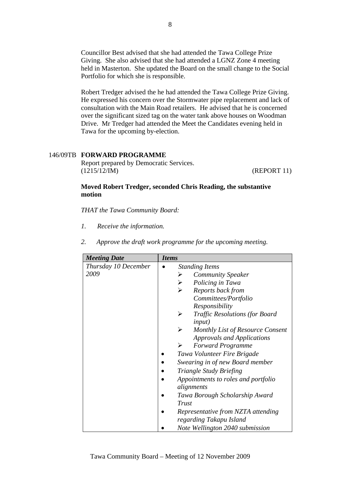Councillor Best advised that she had attended the Tawa College Prize Giving. She also advised that she had attended a LGNZ Zone 4 meeting held in Masterton. She updated the Board on the small change to the Social Portfolio for which she is responsible.

Robert Tredger advised the he had attended the Tawa College Prize Giving. He expressed his concern over the Stormwater pipe replacement and lack of consultation with the Main Road retailers. He advised that he is concerned over the significant sized tag on the water tank above houses on Woodman Drive. Mr Tredger had attended the Meet the Candidates evening held in Tawa for the upcoming by-election.

# 146/09TB **FORWARD PROGRAMME**

Report prepared by Democratic Services. (1215/12/IM) (REPORT 11)

# **Moved Robert Tredger, seconded Chris Reading, the substantive motion**

*THAT the Tawa Community Board:* 

- *1. Receive the information.*
- *2. Approve the draft work programme for the upcoming meeting.*

| <b>Meeting Date</b>  | <b>Items</b>                               |
|----------------------|--------------------------------------------|
| Thursday 10 December | <b>Standing Items</b>                      |
| 2009                 | <b>Community Speaker</b><br>➤              |
|                      | Policing in Tawa<br>≻                      |
|                      | $\blacktriangleright$<br>Reports back from |
|                      | Committees/Portfolio                       |
|                      | Responsibility                             |
|                      | <b>Traffic Resolutions (for Board</b><br>➤ |
|                      | <i>input</i> )                             |
|                      | Monthly List of Resource Consent<br>➤      |
|                      | <b>Approvals and Applications</b>          |
|                      | <b>Forward Programme</b><br>➤              |
|                      | Tawa Volunteer Fire Brigade                |
|                      | Swearing in of new Board member            |
|                      | <b>Triangle Study Briefing</b>             |
|                      | Appointments to roles and portfolio        |
|                      | alignments                                 |
|                      | Tawa Borough Scholarship Award             |
|                      | Trust                                      |
|                      | Representative from NZTA attending         |
|                      | regarding Takapu Island                    |
|                      | Note Wellington 2040 submission            |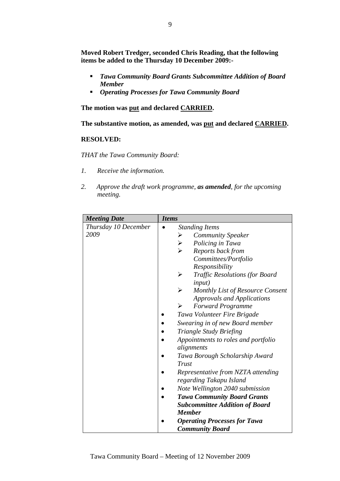**Moved Robert Tredger, seconded Chris Reading, that the following items be added to the Thursday 10 December 2009:-** 

- *Tawa Community Board Grants Subcommittee Addition of Board Member*
- *Operating Processes for Tawa Community Board*

**The motion was put and declared CARRIED.** 

**The substantive motion, as amended, was put and declared CARRIED.** 

## **RESOLVED:**

*THAT the Tawa Community Board:* 

- *1. Receive the information.*
- *2. Approve the draft work programme, as amended, for the upcoming meeting.*

| <b>Meeting Date</b>  | <b>Items</b>                                                   |
|----------------------|----------------------------------------------------------------|
| Thursday 10 December | <b>Standing Items</b>                                          |
| 2009                 | <b>Community Speaker</b><br>➤                                  |
|                      | Policing in Tawa<br>$\blacktriangleright$                      |
|                      | Reports back from                                              |
|                      | Committees/Portfolio                                           |
|                      | Responsibility                                                 |
|                      | $\blacktriangleright$<br><b>Traffic Resolutions (for Board</b> |
|                      | <i>input</i> )                                                 |
|                      | $\blacktriangleright$<br>Monthly List of Resource Consent      |
|                      | <b>Approvals and Applications</b>                              |
|                      | <b>Forward Programme</b><br>➤                                  |
|                      | Tawa Volunteer Fire Brigade                                    |
|                      | Swearing in of new Board member                                |
|                      | Triangle Study Briefing                                        |
|                      | Appointments to roles and portfolio                            |
|                      | alignments                                                     |
|                      | Tawa Borough Scholarship Award                                 |
|                      | <b>Trust</b>                                                   |
|                      | Representative from NZTA attending                             |
|                      | regarding Takapu Island                                        |
|                      | Note Wellington 2040 submission                                |
|                      | <b>Tawa Community Board Grants</b>                             |
|                      | <b>Subcommittee Addition of Board</b>                          |
|                      | <b>Member</b>                                                  |
|                      | <b>Operating Processes for Tawa</b>                            |
|                      | <b>Community Board</b>                                         |